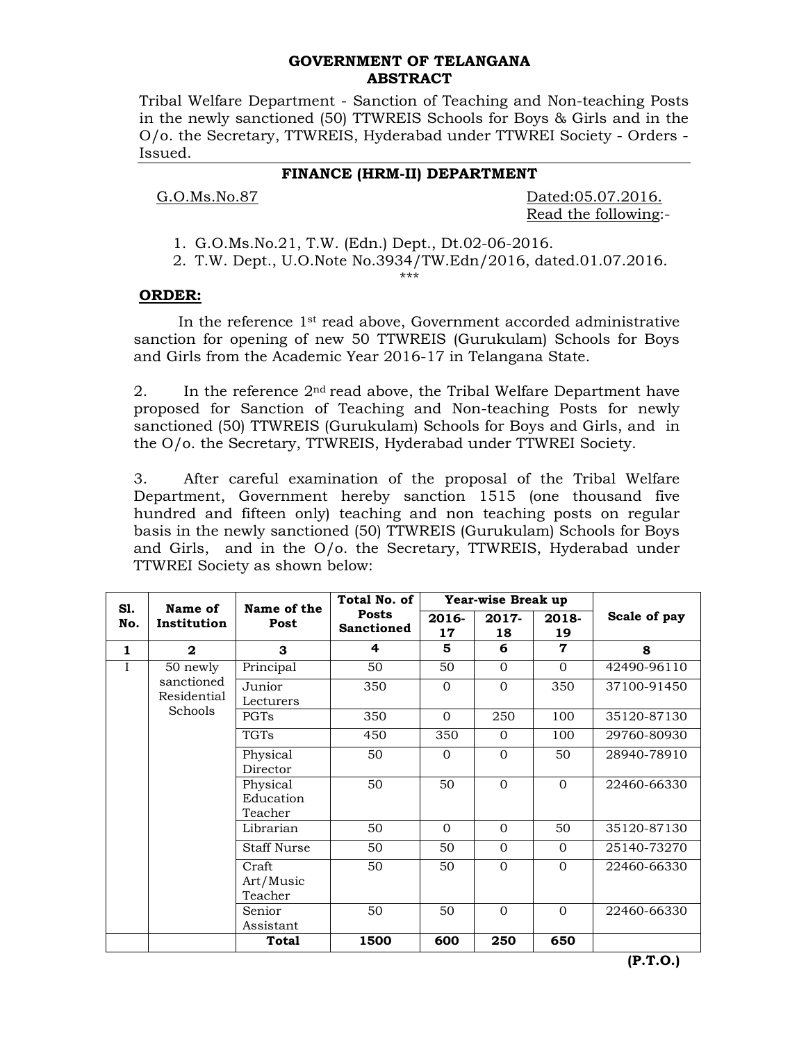# **GOVERNMENT OF TELANGANA ABSTRACT**

Tribal Welfare Department - Sanction of Teaching and Non-teaching Posts in the newly sanctioned (50) TTWREIS Schools for Boys & Girls and in the O/o. the Secretary, TTWREIS, Hyderabad under TTWREI Society - Orders - Issued.

# **FINANCE (HRM-II) DEPARTMENT**

G.O.Ms.No.87 Dated:05.07.2016. Read the following:-

1. G.O.Ms.No.21, T.W. (Edn.) Dept., Dt.02-06-2016.

2. T.W. Dept., U.O.Note No.3934/TW.Edn/2016, dated.01.07.2016.

# \*\*\*

### **ORDER:**

In the reference  $1<sup>st</sup>$  read above, Government accorded administrative sanction for opening of new 50 TTWREIS (Gurukulam) Schools for Boys and Girls from the Academic Year 2016-17 in Telangana State.

2. In the reference  $2<sup>nd</sup>$  read above, the Tribal Welfare Department have proposed for Sanction of Teaching and Non-teaching Posts for newly sanctioned (50) TTWREIS (Gurukulam) Schools for Boys and Girls, and in the O/o. the Secretary, TTWREIS, Hyderabad under TTWREI Society.

3. After careful examination of the proposal of the Tribal Welfare Department, Government hereby sanction 1515 (one thousand five hundred and fifteen only) teaching and non teaching posts on regular basis in the newly sanctioned (50) TTWREIS (Gurukulam) Schools for Boys and Girls, and in the O/o. the Secretary, TTWREIS, Hyderabad under TTWREI Society as shown below:

| S1.<br>No.  | Name of<br>Institution                           | Name of the<br>Post              | Total No. of                      | Year-wise Break up |                |             |              |  |
|-------------|--------------------------------------------------|----------------------------------|-----------------------------------|--------------------|----------------|-------------|--------------|--|
|             |                                                  |                                  | <b>Posts</b><br><b>Sanctioned</b> | 2016-<br>17        | 2017-<br>18    | 2018-<br>19 | Scale of pay |  |
| 1           | $\mathbf{2}$                                     | 3                                | 4                                 | 5                  | 6              | 7           | 8            |  |
| $\mathbf I$ | 50 newly<br>sanctioned<br>Residential<br>Schools | Principal                        | 50                                | 50                 | $\Omega$       | $\Omega$    | 42490-96110  |  |
|             |                                                  | Junior<br>Lecturers              | 350                               | $\Omega$           | $\Omega$       | 350         | 37100-91450  |  |
|             |                                                  | PGTs                             | 350                               | $\Omega$           | 250            | 100         | 35120-87130  |  |
|             |                                                  | <b>TGTs</b>                      | 450                               | 350                | $\Omega$       | 100         | 29760-80930  |  |
|             |                                                  | Physical<br>Director             | 50                                | $\Omega$           | $\Omega$       | 50          | 28940-78910  |  |
|             |                                                  | Physical<br>Education<br>Teacher | 50                                | 50                 | $\Omega$       | $\Omega$    | 22460-66330  |  |
|             |                                                  | Librarian                        | 50                                | $\Omega$           | $\mathbf{0}$   | 50          | 35120-87130  |  |
|             |                                                  | <b>Staff Nurse</b>               | 50                                | 50                 | $\Omega$       | $\Omega$    | 25140-73270  |  |
|             |                                                  | Craft<br>Art/Music<br>Teacher    | 50                                | 50                 | $\overline{0}$ | $\Omega$    | 22460-66330  |  |
|             |                                                  | Senior<br>Assistant              | 50                                | 50                 | $\Omega$       | $\Omega$    | 22460-66330  |  |
|             |                                                  | Total                            | 1500                              | 600                | 250            | 650         |              |  |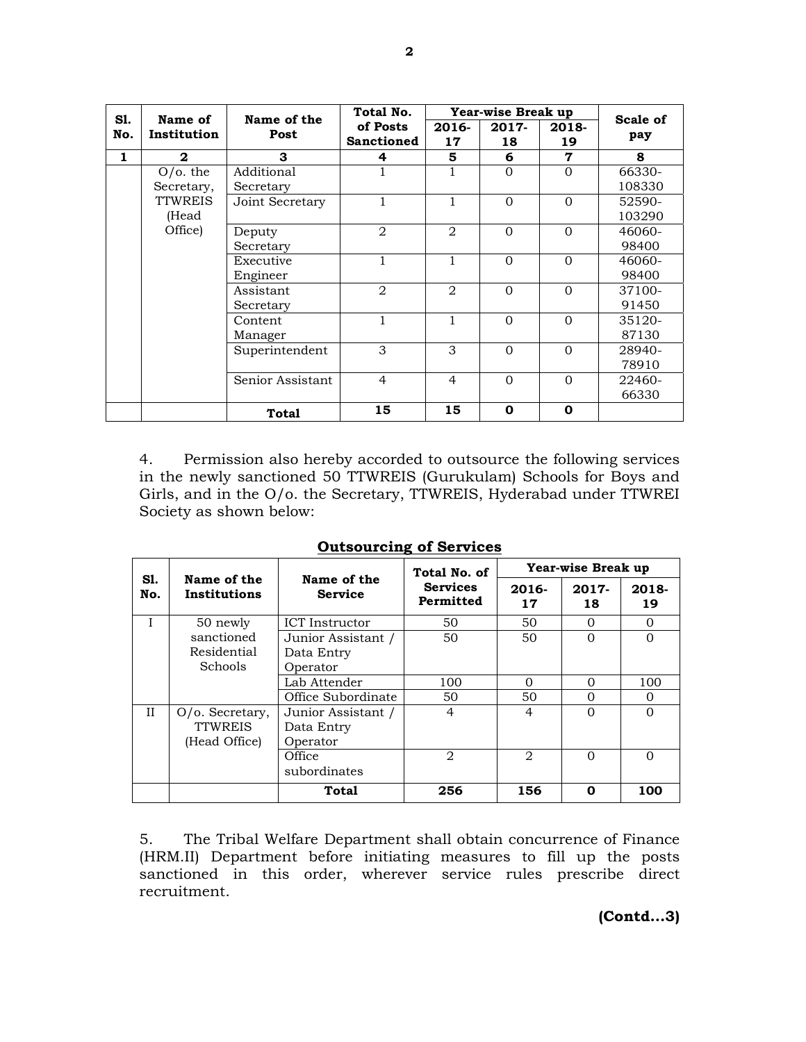| S1.          | Name of<br>Institution    | Name of the<br>Post | Total No.                     | Year-wise Break up |             |             |                 |  |
|--------------|---------------------------|---------------------|-------------------------------|--------------------|-------------|-------------|-----------------|--|
| No.          |                           |                     | of Posts<br><b>Sanctioned</b> | 2016-<br>17        | 2017-<br>18 | 2018-<br>19 | Scale of<br>pay |  |
| $\mathbf{1}$ | $\mathbf{2}$              | 3                   | 4                             | 5                  | 6           | 7           | 8               |  |
|              | $O$ /o. the<br>Secretary, | Additional          |                               |                    | $\Omega$    | $\Omega$    | 66330-          |  |
|              |                           | Secretary           |                               |                    |             |             | 108330          |  |
|              | <b>TTWREIS</b>            | Joint Secretary     | 1                             | $\mathbf{1}$       | $\Omega$    | $\Omega$    | 52590-          |  |
|              | (Head<br>Office)          |                     |                               |                    |             |             | 103290          |  |
|              |                           | Deputy              | 2                             | $\overline{2}$     | $\Omega$    | $\Omega$    | 46060-          |  |
|              |                           | Secretary           |                               |                    |             |             | 98400           |  |
|              |                           | Executive           | $\mathbf{1}$                  | 1                  | $\Omega$    | $\Omega$    | 46060-          |  |
|              |                           | Engineer            |                               |                    |             |             | 98400           |  |
|              |                           | Assistant           | $\overline{2}$                | $\overline{2}$     | $\Omega$    | $\Omega$    | 37100-          |  |
|              |                           | Secretary           |                               |                    |             |             | 91450           |  |
|              |                           | Content             |                               | 1                  | $\Omega$    | $\Omega$    | 35120-          |  |
|              |                           | Manager             |                               |                    |             |             | 87130           |  |
|              |                           | Superintendent      | 3                             | 3                  | $\Omega$    | $\Omega$    | 28940-          |  |
|              |                           |                     |                               |                    |             |             | 78910           |  |
|              |                           | Senior Assistant    | $\overline{4}$                | $\overline{4}$     | $\Omega$    | $\Omega$    | 22460-          |  |
|              |                           |                     |                               |                    |             |             | 66330           |  |
|              |                           | <b>Total</b>        | 15                            | 15                 | 0           | 0           |                 |  |

4. Permission also hereby accorded to outsource the following services in the newly sanctioned 50 TTWREIS (Gurukulam) Schools for Boys and Girls, and in the O/o. the Secretary, TTWREIS, Hyderabad under TTWREI Society as shown below:

|            |                             |                               | Total No. of                 | Year-wise Break up |             |             |  |
|------------|-----------------------------|-------------------------------|------------------------------|--------------------|-------------|-------------|--|
| S1.<br>No. | Name of the<br>Institutions | Name of the<br><b>Service</b> | <b>Services</b><br>Permitted | 2016-<br>17        | 2017-<br>18 | 2018-<br>19 |  |
| T          | 50 newly<br>sanctioned      | <b>ICT</b> Instructor<br>50   |                              | 50                 | 0           | 0           |  |
|            |                             | Junior Assistant /            | 50                           | 50                 | $\Omega$    | $\Omega$    |  |
|            | Residential                 | Data Entry                    |                              |                    |             |             |  |
|            | Schools                     | Operator                      |                              |                    |             |             |  |
|            |                             | Lab Attender                  | 100                          | $\Omega$           | $\Omega$    | 100         |  |
|            |                             | Office Subordinate            | 50                           | 50                 | 0           | 0           |  |
| Н          | $O/O$ . Secretary,          | Junior Assistant /            | $\overline{4}$               | 4                  | $\Omega$    | $\Omega$    |  |
|            | <b>TTWREIS</b>              | Data Entry                    |                              |                    |             |             |  |
|            | (Head Office)               | Operator                      |                              |                    |             |             |  |
|            |                             | Office                        | $\mathfrak{D}_{1}$           | 2                  | $\Omega$    | ∩           |  |
|            |                             | subordinates                  |                              |                    |             |             |  |
|            |                             | Total                         | 256                          | 156                | 0           | 100         |  |

**Outsourcing of Services**

5. The Tribal Welfare Department shall obtain concurrence of Finance (HRM.II) Department before initiating measures to fill up the posts sanctioned in this order, wherever service rules prescribe direct recruitment.

**(Contd...3)**